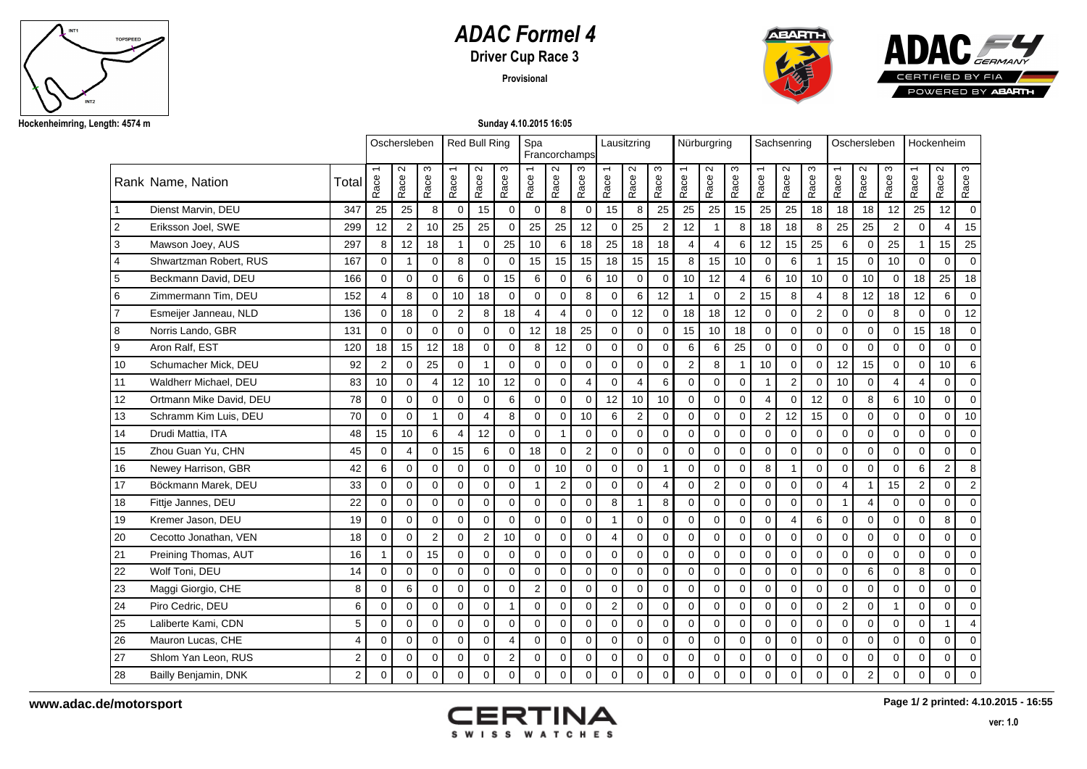

## *ADAC Formel 4*

**Driver Cup Race 3**

**Provisional**





**Sunday 4.10.2015 16:05**

|                  |                         |                |                | Oschersleben   |                |                | <b>Red Bull Ring</b> |                | Spa<br>Francorchamps |                |                | Lausitzring                      |                 |                |                | Nürburgring    |                | Sachsenring                      |                           |                         |                | Oschersleben              |                | Hockenheim                       |                |                |
|------------------|-------------------------|----------------|----------------|----------------|----------------|----------------|----------------------|----------------|----------------------|----------------|----------------|----------------------------------|-----------------|----------------|----------------|----------------|----------------|----------------------------------|---------------------------|-------------------------|----------------|---------------------------|----------------|----------------------------------|----------------|----------------|
|                  | Rank Name, Nation       | Total          | Race           | $\sim$<br>Race | ო<br>Race      | Race           | $\sim$<br>Race       | S<br>Race      | Race                 | $\sim$<br>Race | ო<br>Race      | $\overline{\phantom{0}}$<br>Race | $\sim$<br>Race  | S<br>Race      | Race           | $\sim$<br>Race | ω<br>Race      | $\overline{\phantom{0}}$<br>Race | $\mathbf{\Omega}$<br>Race | S<br>Race               | Race           | $\mathbf{\Omega}$<br>Race | S<br>Race      | $\overline{\phantom{m}}$<br>Race | $\sim$<br>Race | S<br>Race      |
|                  | Dienst Marvin, DEU      | 347            | 25             | 25             | 8              | $\Omega$       | 15                   | $\mathbf 0$    | $\mathbf 0$          | 8              | $\Omega$       | 15                               | 8               | 25             | 25             | 25             | 15             | 25                               | 25                        | 18                      | 18             | 18                        | 12             | 25                               | 12             | $\Omega$       |
| $\overline{2}$   | Eriksson Joel, SWE      | 299            | 12             | $\overline{2}$ | 10             | 25             | 25                   | $\mathbf 0$    | 25                   | 25             | 12             | $\Omega$                         | 25              | 2              | 12             | -1             | 8              | 18                               | 18                        | 8                       | 25             | 25                        | $\overline{2}$ | $\Omega$                         | $\overline{4}$ | 15             |
| $\overline{3}$   | Mawson Joey, AUS        | 297            | 8              | 12             | 18             |                | $\mathbf 0$          | 25             | 10                   | 6              | 18             | 25                               | 18              | 18             | $\overline{4}$ | $\overline{4}$ | 6              | 12                               | 15                        | 25                      | 6              | $\Omega$                  | 25             |                                  | 15             | 25             |
| $\overline{4}$   | Shwartzman Robert, RUS  | 167            | $\Omega$       | 1              | $\Omega$       | 8              | $\mathbf 0$          | $\mathbf 0$    | 15                   | 15             | 15             | 18                               | 15 <sup>1</sup> | 15             | 8              | 15             | 10             | $\Omega$                         | 6                         | $\mathbf{1}$            | 15             | $\mathbf 0$               | 10             | $\Omega$                         | $\mathbf 0$    | $\Omega$       |
| $\overline{5}$   | Beckmann David, DEU     | 166            | $\Omega$       | $\overline{0}$ | $\Omega$       | 6              | $\Omega$             | 15             | 6                    | $\Omega$       | 6              | 10                               | $\Omega$        | $\Omega$       | 10             | 12             | $\overline{4}$ | 6                                | 10 <sup>1</sup>           | 10                      | $\Omega$       | 10                        | $\Omega$       | 18                               | 25             | 18             |
| 6                | Zimmermann Tim, DEU     | 152            | $\overline{4}$ | 8              | 0              | 10             | 18                   | 0              | $\mathbf 0$          | $\mathbf 0$    | 8              | 0                                | 6               | 12             | $\overline{1}$ | $\mathbf 0$    | $\overline{2}$ | 15                               | 8                         | 4                       | 8              | 12                        | 18             | 12                               | 6              | $\Omega$       |
| $\overline{7}$   | Esmeijer Janneau, NLD   | 136            | $\mathbf 0$    | 18             | $\mathbf 0$    | $\overline{2}$ | 8                    | 18             | $\overline{4}$       | $\overline{4}$ | $\Omega$       | $\mathbf 0$                      | 12              | $\mathbf 0$    | 18             | 18             | 12             | $\mathbf 0$                      | $\mathbf 0$               | $\overline{\mathbf{c}}$ | $\mathbf 0$    | $\mathbf 0$               | 8              | 0                                | $\mathbf 0$    | 12             |
| 8                | Norris Lando, GBR       | 131            | $\mathbf 0$    | $\Omega$       | $\Omega$       | $\Omega$       | $\mathbf 0$          | $\mathbf 0$    | 12                   | 18             | 25             | $\mathbf 0$                      | $\mathbf 0$     | $\mathbf 0$    | 15             | 10             | 18             | $\mathbf 0$                      | $\Omega$                  | $\mathbf 0$             | $\mathbf 0$    | $\mathbf 0$               | $\mathbf 0$    | 15                               | 18             | $\Omega$       |
| $\boldsymbol{9}$ | Aron Ralf, EST          | 120            | 18             | 15             | 12             | 18             | $\Omega$             | $\mathbf 0$    | 8                    | 12             | $\Omega$       | $\mathbf 0$                      | $\Omega$        | $\mathbf 0$    | 6              | 6              | 25             | $\Omega$                         | $\Omega$                  | $\Omega$                | $\mathbf 0$    | $\Omega$                  | $\Omega$       | $\Omega$                         | $\mathbf 0$    | $\Omega$       |
| 10               | Schumacher Mick, DEU    | 92             | 2              | $\Omega$       | 25             | $\Omega$       | $\mathbf{1}$         | $\mathbf 0$    | $\Omega$             | $\Omega$       | $\Omega$       | $\overline{0}$                   | $\mathbf 0$     | $\mathbf 0$    | $\overline{2}$ | 8              |                | 10                               | $\mathbf{0}$              | $\mathbf 0$             | 12             | 15                        | $\Omega$       | $\Omega$                         | 10             | 6              |
| 11               | Waldherr Michael, DEU   | 83             | 10             | $\Omega$       | 4              | 12             | 10                   | 12             | $\Omega$             | $\Omega$       | 4              | $\Omega$                         | $\overline{4}$  | 6              | $\Omega$       | $\Omega$       | $\Omega$       | 1                                | $\overline{2}$            | $\Omega$                | 10             | $\mathbf{0}$              | 4              | 4                                | $\Omega$       |                |
| 12               | Ortmann Mike David, DEU | 78             | $\mathbf 0$    | $\mathbf 0$    | $\mathbf 0$    | $\mathbf 0$    | $\mathbf 0$          | 6              | $\mathbf 0$          | $\mathbf 0$    | $\Omega$       | 12                               | 10 <sup>1</sup> | 10             | $\mathbf 0$    | $\mathbf 0$    | $\Omega$       | 4                                | $\mathbf 0$               | 12                      | $\mathbf 0$    | 8                         | 6              | 10                               | $\mathbf 0$    | $\Omega$       |
| 13               | Schramm Kim Luis, DEU   | 70             | $\mathbf 0$    | $\mathbf 0$    | 1              | $\mathbf 0$    | $\overline{4}$       | 8              | $\mathbf 0$          | $\mathbf 0$    | 10             | 6                                | $\mathbf{2}$    | $\mathbf 0$    | $\mathbf 0$    | $\mathbf 0$    | $\Omega$       | $\mathbf{2}$                     | 12                        | 15                      | $\mathbf 0$    | $\mathbf 0$               | $\Omega$       | 0                                | $\mathbf 0$    | 10             |
| 14               | Drudi Mattia, ITA       | 48             | 15             | 10             | 6              | $\Delta$       | 12                   | $\Omega$       | $\Omega$             | $\overline{1}$ | $\Omega$       | $\Omega$                         | $\Omega$        | $\Omega$       | $\Omega$       | $\Omega$       | $\Omega$       | $\Omega$                         | $\Omega$                  | $\Omega$                | $\Omega$       | $\mathbf{0}$              | $\Omega$       | $\Omega$                         | $\Omega$       | $\Omega$       |
| 15               | Zhou Guan Yu, CHN       | 45             | $\mathbf 0$    | $\overline{4}$ | $\Omega$       | 15             | 6                    | $\mathbf 0$    | 18                   | $\Omega$       | $\overline{2}$ | $\mathbf 0$                      | $\mathbf 0$     | $\mathbf 0$    | $\mathbf 0$    | $\Omega$       | $\Omega$       | $\Omega$                         | $\mathbf 0$               | $\mathbf 0$             | $\mathbf 0$    | $\Omega$                  | $\Omega$       | $\Omega$                         | $\mathbf 0$    | $\Omega$       |
| 16               | Newey Harrison, GBR     | 42             | 6              | $\Omega$       | $\mathbf 0$    | $\Omega$       | $\mathbf 0$          | $\mathbf 0$    | $\mathbf 0$          | 10             | $\Omega$       | $\mathbf 0$                      | $\mathbf 0$     | $\mathbf{1}$   | $\Omega$       | $\Omega$       | $\Omega$       | 8                                | $\mathbf{1}$              | $\Omega$                | $\mathbf 0$    | $\Omega$                  | $\Omega$       | 6                                | $\overline{2}$ | 8              |
| 17               | Böckmann Marek, DEU     | 33             | $\Omega$       | $\Omega$       | $\Omega$       | $\Omega$       | $\Omega$             | $\overline{0}$ | $\overline{1}$       | $\overline{2}$ | $\Omega$       | $\overline{0}$                   | $\Omega$        | $\overline{4}$ | $\Omega$       | $\overline{2}$ | $\Omega$       | $\Omega$                         | $\Omega$                  | $\overline{0}$          | $\overline{4}$ | $\overline{1}$            | 15             | $\overline{2}$                   | $\Omega$       | $\overline{2}$ |
| 18               | Fittje Jannes, DEU      | 22             | $\mathbf 0$    | $\mathbf 0$    | 0              | $\mathbf 0$    | $\mathbf 0$          | $\mathbf 0$    | $\mathbf 0$          | $\mathbf 0$    | $\Omega$       | 8                                | $\mathbf{1}$    | 8              | $\mathbf 0$    | $\mathbf 0$    | $\Omega$       | $\mathbf 0$                      | $\mathbf 0$               | $\mathbf 0$             | $\overline{1}$ | $\overline{4}$            | $\Omega$       | $\mathbf 0$                      | $\mathbf 0$    | $\mathbf 0$    |
| 19               | Kremer Jason, DEU       | 19             | $\mathbf 0$    | $\mathbf 0$    | $\mathbf 0$    | $\mathbf 0$    | 0                    | $\mathbf 0$    | $\mathbf 0$          | $\mathbf 0$    | $\mathbf 0$    | 1                                | $\mathbf 0$     | $\mathbf 0$    | $\mathbf 0$    | $\mathbf 0$    | $\mathbf 0$    | $\mathbf 0$                      | $\overline{4}$            | 6                       | $\mathbf 0$    | $\mathbf 0$               | $\mathbf 0$    | 0                                | 8              | $\Omega$       |
| 20               | Cecotto Jonathan, VEN   | 18             | $\Omega$       | $\Omega$       | $\overline{2}$ | $\Omega$       | $\overline{2}$       | 10             | $\mathbf 0$          | $\mathbf 0$    | $\Omega$       | 4                                | $\Omega$        | $\Omega$       | $\mathbf 0$    | $\Omega$       | $\Omega$       | $\Omega$                         | $\Omega$                  | $\mathbf 0$             | $\mathbf 0$    | $\mathbf{0}$              | $\Omega$       | $\Omega$                         | $\mathbf 0$    | $\Omega$       |
| 21               | Preining Thomas, AUT    | 16             |                | $\Omega$       | 15             | $\Omega$       | $\mathbf{0}$         | $\mathbf 0$    | $\mathbf 0$          | $\Omega$       | $\Omega$       | $\mathbf 0$                      | $\mathbf 0$     | $\mathbf 0$    | $\mathbf 0$    | $\Omega$       | $\Omega$       | $\Omega$                         | $\mathbf 0$               | $\mathbf 0$             | $\mathbf 0$    | $\Omega$                  | $\Omega$       | $\Omega$                         | $\mathbf 0$    | $\Omega$       |
| 22               | Wolf Toni, DEU          | 14             | $\Omega$       | $\Omega$       | $\mathbf 0$    | $\mathbf 0$    | $\mathbf{0}$         | $\mathbf{0}$   | $\mathbf 0$          | $\Omega$       | $\Omega$       | $\overline{0}$                   | $\mathbf{0}$    | $\Omega$       | $\mathbf 0$    | $\Omega$       | $\Omega$       | $\mathbf 0$                      | $\mathbf{0}$              | $\mathbf 0$             | $\mathbf 0$    | 6                         | $\Omega$       | 8                                | $\mathbf{0}$   | $\Omega$       |
| 23               | Maggi Giorgio, CHE      | 8              | $\Omega$       | 6              | $\Omega$       | $\Omega$       | $\Omega$             | $\Omega$       | 2                    | $\Omega$       | $\Omega$       | $\Omega$                         | $\Omega$        | $\Omega$       | $\Omega$       | $\Omega$       | $\Omega$       | $\Omega$                         | $\Omega$                  | $\Omega$                | $\Omega$       | $\Omega$                  | $\Omega$       | $\Omega$                         | $\Omega$       | $\Omega$       |
| 24               | Piro Cedric, DEU        | 6              | $\mathbf 0$    | $\mathbf 0$    | 0              | $\mathbf 0$    | $\overline{0}$       | $\mathbf{1}$   | $\mathbf 0$          | $\mathbf 0$    | $\mathbf 0$    | $\overline{2}$                   | $\mathbf 0$     | $\mathbf 0$    | $\mathbf 0$    | $\mathbf 0$    | $\mathbf 0$    | $\mathbf 0$                      | $\mathbf 0$               | $\mathbf 0$             | $\overline{2}$ | $\mathbf 0$               |                | 0                                | $\mathbf 0$    | $\Omega$       |
| 25               | Laliberte Kami, CDN     | 5              | $\mathbf 0$    | $\mathbf 0$    | $\mathbf 0$    | $\mathbf 0$    | 0                    | $\mathbf 0$    | $\mathbf 0$          | $\mathbf 0$    | $\mathbf 0$    | $\mathsf{O}\xspace$              | $\mathsf{O}$    | $\mathbf 0$    | $\pmb{0}$      | $\mathbf 0$    | $\mathbf 0$    | $\mathbf 0$                      | $\mathbf 0$               | $\mathbf 0$             | $\pmb{0}$      | $\mathbf 0$               | $\mathbf 0$    | 0                                | $\mathbf{1}$   |                |
| 26               | Mauron Lucas, CHE       | 4              | $\Omega$       | $\Omega$       | $\Omega$       | $\Omega$       | $\Omega$             | $\overline{4}$ | $\Omega$             | $\mathbf 0$    | $\Omega$       | $\Omega$                         | $\Omega$        | $\Omega$       | $\mathbf 0$    | $\Omega$       | $\Omega$       | $\Omega$                         | $\Omega$                  | $\mathbf 0$             | $\mathbf 0$    | $\Omega$                  | $\Omega$       | $\Omega$                         | $\mathbf 0$    | $\Omega$       |
| 27               | Shlom Yan Leon, RUS     | $\overline{2}$ | $\mathbf 0$    | $\Omega$       | $\Omega$       | $\Omega$       | $\mathbf 0$          | $\overline{2}$ | $\mathbf 0$          | $\Omega$       | $\Omega$       | $\mathbf 0$                      | $\mathbf 0$     | $\mathbf 0$    | $\mathbf 0$    | $\Omega$       | $\Omega$       | $\Omega$                         | $\mathbf 0$               | $\mathbf 0$             | $\mathbf 0$    | $\Omega$                  | $\Omega$       | $\mathbf 0$                      | $\mathbf 0$    | $\mathbf 0$    |
| 28               | Bailly Benjamin, DNK    | $\overline{2}$ | $\mathbf 0$    | $\mathbf 0$    | 0              | 0              | 0                    | $\mathbf 0$    | $\mathbf 0$          | $\mathbf 0$    | $\mathbf 0$    | 0                                | $\mathbf{0}$    | $\Omega$       | 0              | $\mathbf 0$    | $\Omega$       | $\mathbf 0$                      | $\mathbf{0}$              | $\mathbf 0$             | $\mathbf 0$    | $\boldsymbol{2}$          | $\mathbf 0$    | 0                                | $\mathbf 0$    | $\mathbf 0$    |



**Page 1/ 2 printed: 4.10.2015 - 16:55**